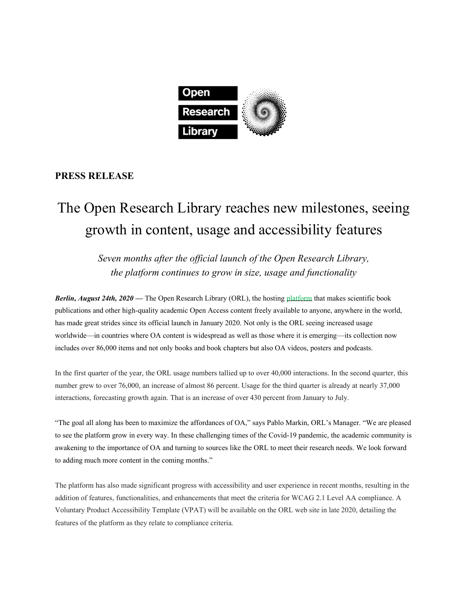

## **PRESS RELEASE**

## The Open Research Library reaches new milestones, seeing growth in content, usage and accessibility features

*Seven months after the official launch of the Open Research Library, the platform continues to grow in size, usage and functionality*

*Berlin, August 24th, 2020* — The Open Research Library (ORL), the hosting [platform](http://www.openresearchlibrary.org/) that makes scientific book publications and other high-quality academic Open Access content freely available to anyone, anywhere in the world, has made great strides since its official launch in January 2020. Not only is the ORL seeing increased usage worldwide—in countries where OA content is widespread as well as those where it is emerging—its collection now includes over 86,000 items and not only books and book chapters but also OA videos, posters and podcasts.

In the first quarter of the year, the ORL usage numbers tallied up to over 40,000 interactions. In the second quarter, this number grew to over 76,000, an increase of almost 86 percent. Usage for the third quarter is already at nearly 37,000 interactions, forecasting growth again. That is an increase of over 430 percent from January to July.

"The goal all along has been to maximize the affordances of OA," says Pablo Markin, ORL's Manager. "We are pleased to see the platform grow in every way. In these challenging times of the Covid-19 pandemic, the academic community is awakening to the importance of OA and turning to sources like the ORL to meet their research needs. We look forward to adding much more content in the coming months."

The platform has also made significant progress with accessibility and user experience in recent months, resulting in the addition of features, functionalities, and enhancements that meet the criteria for WCAG 2.1 Level AA compliance. A Voluntary Product Accessibility Template (VPAT) will be available on the ORL web site in late 2020, detailing the features of the platform as they relate to compliance criteria.